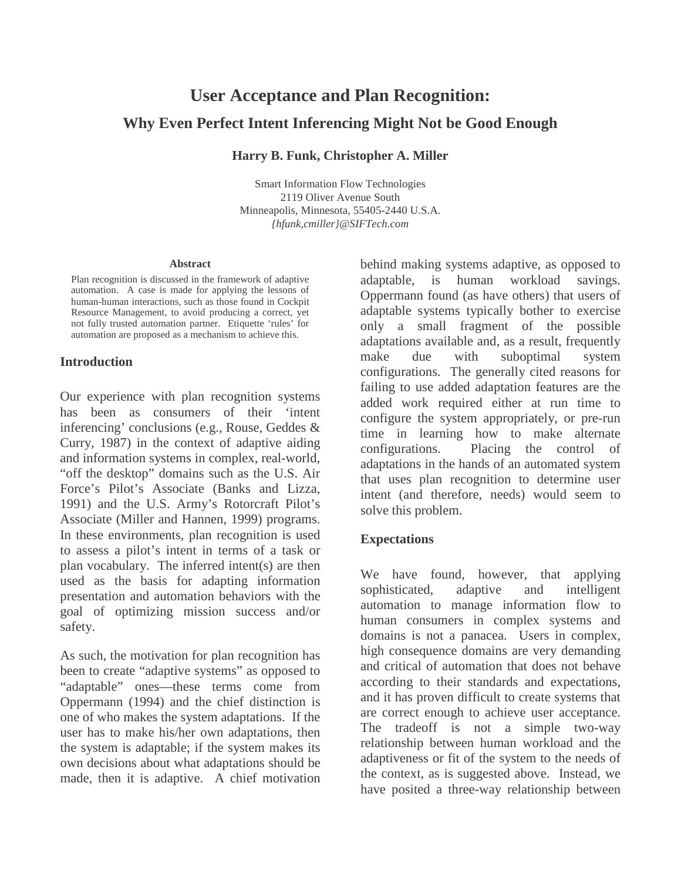# **User Acceptance and Plan Recognition: Why Even Perfect Intent Inferencing Might Not be Good Enough**

**Harry B. Funk, Christopher A. Miller**

Smart Information Flow Technologies 2119 Oliver Avenue South Minneapolis, Minnesota, 55405-2440 U.S.A. *{hfunk,cmiller}@SIFTech.com*

#### **Abstract**

Plan recognition is discussed in the framework of adaptive automation. A case is made for applying the lessons of human-human interactions, such as those found in Cockpit Resource Management, to avoid producing a correct, yet not fully trusted automation partner. Etiquette 'rules' for automation are proposed as a mechanism to achieve this.

# **Introduction**

Our experience with plan recognition systems has been as consumers of their 'intent inferencing' conclusions (e.g., Rouse, Geddes & Curry, 1987) in the context of adaptive aiding and information systems in complex, real-world, "off the desktop" domains such as the U.S. Air Force's Pilot's Associate (Banks and Lizza, 1991) and the U.S. Army's Rotorcraft Pilot's Associate (Miller and Hannen, 1999) programs. In these environments, plan recognition is used to assess a pilot's intent in terms of a task or plan vocabulary. The inferred intent(s) are then used as the basis for adapting information presentation and automation behaviors with the goal of optimizing mission success and/or safety.

As such, the motivation for plan recognition has been to create "adaptive systems" as opposed to "adaptable" ones—these terms come from Oppermann (1994) and the chief distinction is one of who makes the system adaptations. If the user has to make his/her own adaptations, then the system is adaptable; if the system makes its own decisions about what adaptations should be made, then it is adaptive. A chief motivation

behind making systems adaptive, as opposed to adaptable, is human workload savings. Oppermann found (as have others) that users of adaptable systems typically bother to exercise only a small fragment of the possible adaptations available and, as a result, frequently make due with suboptimal system configurations. The generally cited reasons for failing to use added adaptation features are the added work required either at run time to configure the system appropriately, or pre-run time in learning how to make alternate configurations. Placing the control of adaptations in the hands of an automated system that uses plan recognition to determine user intent (and therefore, needs) would seem to solve this problem.

# **Expectations**

We have found, however, that applying sophisticated, adaptive and intelligent automation to manage information flow to human consumers in complex systems and domains is not a panacea. Users in complex, high consequence domains are very demanding and critical of automation that does not behave according to their standards and expectations, and it has proven difficult to create systems that are correct enough to achieve user acceptance. The tradeoff is not a simple two-way relationship between human workload and the adaptiveness or fit of the system to the needs of the context, as is suggested above. Instead, we have posited a three-way relationship between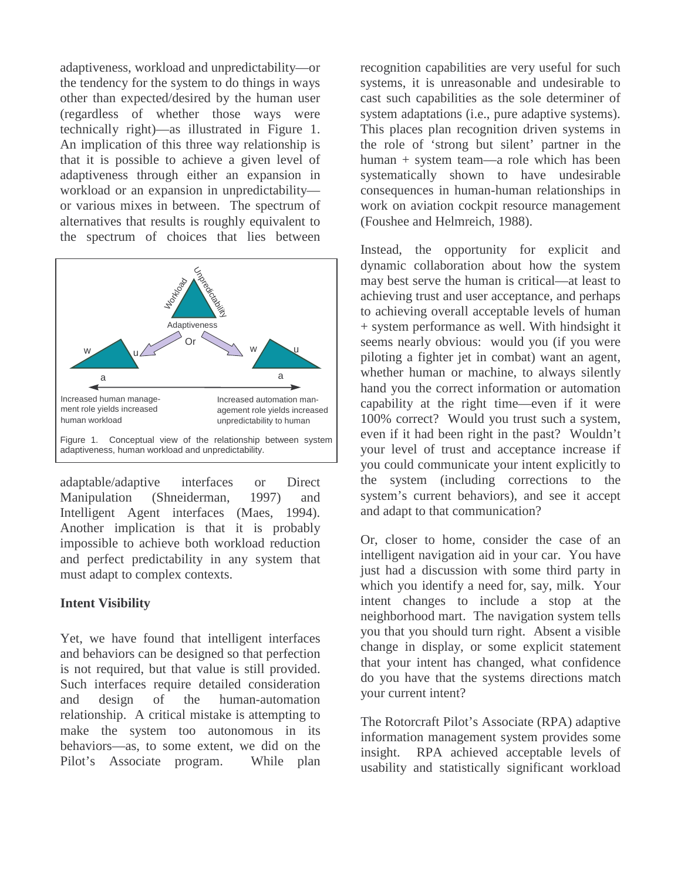adaptiveness, workload and unpredictability—or the tendency for the system to do things in ways other than expected/desired by the human user (regardless of whether those ways were technically right)—as illustrated in Figure 1. An implication of this three way relationship is that it is possible to achieve a given level of adaptiveness through either an expansion in workload or an expansion in unpredictability or various mixes in between. The spectrum of alternatives that results is roughly equivalent to the spectrum of choices that lies between



adaptable/adaptive interfaces or Direct Manipulation (Shneiderman, 1997) and Intelligent Agent interfaces (Maes, 1994). Another implication is that it is probably impossible to achieve both workload reduction and perfect predictability in any system that must adapt to complex contexts.

# **Intent Visibility**

Yet, we have found that intelligent interfaces and behaviors can be designed so that perfection is not required, but that value is still provided. Such interfaces require detailed consideration and design of the human-automation relationship. A critical mistake is attempting to make the system too autonomous in its behaviors—as, to some extent, we did on the Pilot's Associate program. While plan recognition capabilities are very useful for such systems, it is unreasonable and undesirable to cast such capabilities as the sole determiner of system adaptations (i.e., pure adaptive systems). This places plan recognition driven systems in the role of 'strong but silent' partner in the human + system team—a role which has been systematically shown to have undesirable consequences in human-human relationships in work on aviation cockpit resource management (Foushee and Helmreich, 1988).

Instead, the opportunity for explicit and dynamic collaboration about how the system may best serve the human is critical—at least to achieving trust and user acceptance, and perhaps to achieving overall acceptable levels of human + system performance as well. With hindsight it seems nearly obvious: would you (if you were piloting a fighter jet in combat) want an agent, whether human or machine, to always silently hand you the correct information or automation capability at the right time—even if it were 100% correct? Would you trust such a system, even if it had been right in the past? Wouldn't your level of trust and acceptance increase if you could communicate your intent explicitly to the system (including corrections to the system's current behaviors), and see it accept and adapt to that communication?

Or, closer to home, consider the case of an intelligent navigation aid in your car. You have just had a discussion with some third party in which you identify a need for, say, milk. Your intent changes to include a stop at the neighborhood mart. The navigation system tells you that you should turn right. Absent a visible change in display, or some explicit statement that your intent has changed, what confidence do you have that the systems directions match your current intent?

The Rotorcraft Pilot's Associate (RPA) adaptive information management system provides some insight. RPA achieved acceptable levels of usability and statistically significant workload